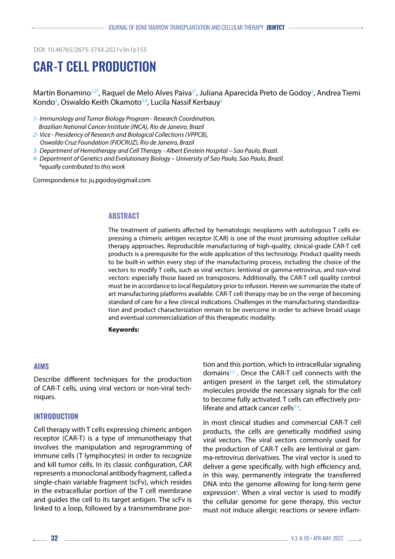DOI: 10.46765/2675-374X.2021v3n1p155

# CAR-T CELL PRODUCTION

Martín Bonamino<sup>1,2\*</sup>, Raquel de Melo Alves Paiva<sup>3\*</sup>, Juliana Aparecida Preto de Godoy<sup>3</sup>, Andrea Tiemi Kondo<sup>3</sup>, Oswaldo Keith Okamoto<sup>3,4</sup>, Lucila Nassif Kerbauy<sup>3</sup>

- *1- Immunology and Tumor Biology Program Research Coordination, Brazilian National Cancer Institute (INCA), Rio de Janeiro, Brazil*
- *2- Vice Presidency of Research and Biological Collections (VPPCB),*
- *Oswaldo Cruz Foundation (FIOCRUZ), Rio de Janeiro, Brazil*
- *3- Department of Hemotherapy and Cell Therapy Albert Einstein Hospital Sao Paulo, Brazil.*
- *4- Department of Genetics and Evolutionary Biology University of Sao Paulo, Sao Paulo, Brazil. \*equally contributed to this work*

Correspondence to: ju.pgodoy@gmail.com

#### **ABSTRACT**

The treatment of patients affected by hematologic neoplasms with autologous T cells expressing a chimeric antigen receptor (CAR) is one of the most promising adoptive cellular therapy approaches. Reproducible manufacturing of high-quality, clinical-grade CAR-T cell products is a prerequisite for the wide application of this technology. Product quality needs to be built-in within every step of the manufacturing process, including the choice of the vectors to modify T cells, such as viral vectors: lentiviral or gamma-retrovirus, and non-viral vectors: especially those based on transposons. Additionally, the CAR-T cell quality control must be in accordance to local Regulatory prior to infusion. Herein we summarize the state of art manufacturing platforms available. CAR-T cell therapy may be on the verge of becoming standard of care for a few clinical indications. Challenges in the manufacturing standardization and product characterization remain to be overcome in order to achieve broad usage and eventual commercialization of this therapeutic modality.

**Keywords:**

#### **AIMS**

Describe different techniques for the production of CAR-T cells, using viral vectors or non-viral techniques.

#### **INTRODUCTION**

Cell therapy with T cells expressing chimeric antigen receptor (CAR-T) is a type of immunotherapy that involves the manipulation and reprogramming of immune cells (T lymphocytes) in order to recognize and kill tumor cells. In its classic configuration, CAR represents a monoclonal antibody fragment, called a single-chain variable fragment (scFv), which resides in the extracellular portion of the T cell membrane and guides the cell to its target antigen. The scFv is linked to a loop, followed by a transmembrane portion and this portion, which to intracellular signaling domains1,2 . Once the CAR-T cell connects with the antigen present in the target cell, the stimulatory molecules provide the necessary signals for the cell to become fully activated. T cells can effectively proliferate and attack cancer cells $3-5$ .

In most clinical studies and commercial CAR-T cell products, the cells are genetically modified using viral vectors. The viral vectors commonly used for the production of CAR-T cells are lentiviral or gamma-retrovirus derivatives. The viral vector is used to deliver a gene specifically, with high efficiency and, in this way, permanently integrate the transferred DNA into the genome allowing for long-term gene expression<sup>6</sup>. When a viral vector is used to modify the cellular genome for gene therapy, this vector must not induce allergic reactions or severe inflam-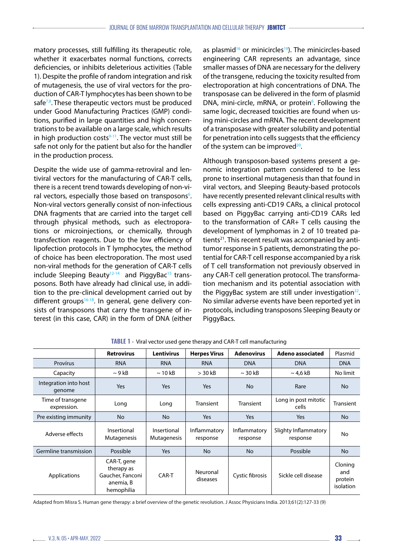matory processes, still fulfilling its therapeutic role, whether it exacerbates normal functions, corrects deficiencies, or inhibits deleterious activities (Table 1). Despite the profile of random integration and risk of mutagenesis, the use of viral vectors for the production of CAR-T lymphocytes has been shown to be safe $7,8$ . These therapeutic vectors must be produced under Good Manufacturing Practices (GMP) conditions, purified in large quantities and high concentrations to be available on a large scale, which results in high production costs $9-11$ . The vector must still be safe not only for the patient but also for the handler in the production process.

Despite the wide use of gamma-retroviral and lentiviral vectors for the manufacturing of CAR-T cells, there is a recent trend towards developing of non-viral vectors, especially those based on transposons<sup>6</sup>. Non-viral vectors generally consist of non-infectious DNA fragments that are carried into the target cell through physical methods, such as electroporations or microinjections, or chemically, through transfection reagents. Due to the low efficiency of lipofection protocols in T lymphocytes, the method of choice has been electroporation. The most used non-viral methods for the generation of CAR-T cells include Sleeping Beauty $12-14$  and PiggyBac<sup>15</sup> transposons. Both have already had clinical use, in addition to the pre-clinical development carried out by different groups<sup>16-18</sup>. In general, gene delivery consists of transposons that carry the transgene of interest (in this case, CAR) in the form of DNA (either as plasmid<sup>16</sup> or minicircles<sup>19</sup>). The minicircles-based engineering CAR represents an advantage, since smaller masses of DNA are necessary for the delivery of the transgene, reducing the toxicity resulted from electroporation at high concentrations of DNA. The transposase can be delivered in the form of plasmid DNA, mini-circle, mRNA, or protein<sup>6</sup>. Following the same logic, decreased toxicities are found when using mini-circles and mRNA. The recent development of a transposase with greater solubility and potential for penetration into cells suggests that the efficiency of the system can be improved $20$ .

Although transposon-based systems present a genomic integration pattern considered to be less prone to insertional mutagenesis than that found in viral vectors, and Sleeping Beauty-based protocols have recently presented relevant clinical results with cells expressing anti-CD19 CARs, a clinical protocol based on PiggyBac carrying anti-CD19 CARs led to the transformation of CAR+ T cells causing the development of lymphomas in 2 of 10 treated patients<sup>21</sup>. This recent result was accompanied by antitumor response in 5 patients, demonstrating the potential for CAR-T cell response accompanied by a risk of T cell transformation not previously observed in any CAR-T cell generation protocol. The transformation mechanism and its potential association with the PiggyBac system are still under investigation<sup>22</sup>. No similar adverse events have been reported yet in protocols, including transposons Sleeping Beauty or PiggyBacs.

|                                  | <b>Retrovirus</b>                                                        | <b>Lentivirus</b>          | <b>Herpes Vírus</b>      | <b>Adenovirus</b>        | Adeno associated                 | Plasmid                                |
|----------------------------------|--------------------------------------------------------------------------|----------------------------|--------------------------|--------------------------|----------------------------------|----------------------------------------|
| Provírus                         | <b>RNA</b>                                                               | <b>RNA</b>                 | <b>RNA</b>               | <b>DNA</b>               | <b>DNA</b>                       | <b>DNA</b>                             |
| Capacity                         | $\sim$ 9 kB                                                              | $\sim$ 10 kB               | $>$ 30 kB                | $\sim$ 30 kB             | $\sim$ 4.6 kB                    | No limit                               |
| Integration into host<br>genome  | <b>Yes</b>                                                               | Yes                        | Yes                      | <b>No</b>                | Rare                             | <b>No</b>                              |
| Time of transgene<br>expression. | Long                                                                     | Long                       | <b>Transient</b>         | <b>Transient</b>         | Long in post mitotic<br>cells    | Transient                              |
| Pre existing immunity            | <b>No</b>                                                                | <b>No</b>                  | <b>Yes</b>               | Yes                      | Yes                              | <b>No</b>                              |
| Adverse effects                  | Insertional<br>Mutagenesis                                               | Insertional<br>Mutagenesis | Inflammatory<br>response | Inflammatory<br>response | Slighty Inflammatory<br>response | No                                     |
| Germline transmission            | Possible                                                                 | Yes                        | <b>No</b>                | <b>No</b>                | Possible                         | <b>No</b>                              |
| Applications                     | CAR-T, gene<br>therapy as<br>Gaucher, Fanconi<br>anemia, B<br>hemophilia | CAR-T                      | Neuronal<br>diseases     | Cystic fibrosis          | Sickle cell disease              | Cloning<br>and<br>protein<br>isolation |

**TABLE 1** - Viral vector used gene therapy and CAR-T cell manufacturing

Adapted from Misra S. Human gene therapy: a brief overview of the genetic revolution. J Assoc Physicians India. 2013;61(2):127-33 (9)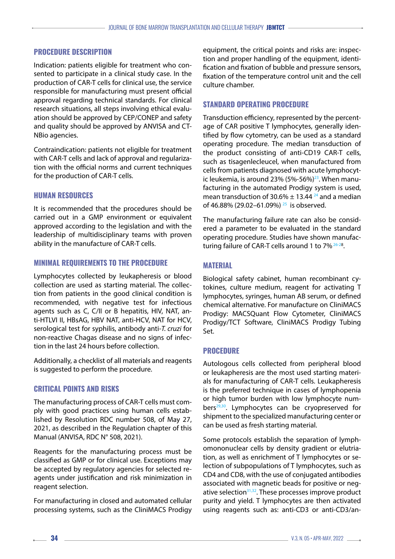## **PROCEDURE DESCRIPTION**

Indication: patients eligible for treatment who consented to participate in a clinical study case. In the production of CAR-T cells for clinical use, the service responsible for manufacturing must present official approval regarding technical standards. For clinical research situations, all steps involving ethical evaluation should be approved by CEP/CONEP and safety and quality should be approved by ANVISA and CT-NBio agencies.

Contraindication: patients not eligible for treatment with CAR-T cells and lack of approval and regularization with the official norms and current techniques for the production of CAR-T cells.

### **HUMAN RESOURCES**

It is recommended that the procedures should be carried out in a GMP environment or equivalent approved according to the legislation and with the leadership of multidisciplinary teams with proven ability in the manufacture of CAR-T cells.

## **MINIMAL REQUIREMENTS TO THE PROCEDURE**

Lymphocytes collected by leukapheresis or blood collection are used as starting material. The collection from patients in the good clinical condition is recommended, with negative test for infectious agents such as C, C/II or B hepatitis, HIV, NAT, anti-HTLVI II, HBsAG, HBV NAT, anti-HCV, NAT for HCV, serological test for syphilis, antibody anti-*T. cruzi* for non-reactive Chagas disease and no signs of infection in the last 24 hours before collection.

Additionally, a checklist of all materials and reagents is suggested to perform the procedure.

# **CRITICAL POINTS AND RISKS**

The manufacturing process of CAR-T cells must comply with good practices using human cells established by Resolution RDC number 508, of May 27, 2021, as described in the Regulation chapter of this Manual (ANVISA, RDC N° 508, 2021).

Reagents for the manufacturing process must be classified as GMP or for clinical use. Exceptions may be accepted by regulatory agencies for selected reagents under justification and risk minimization in reagent selection.

For manufacturing in closed and automated cellular processing systems, such as the CliniMACS Prodigy equipment, the critical points and risks are: inspection and proper handling of the equipment, identification and fixation of bubble and pressure sensors, fixation of the temperature control unit and the cell culture chamber.

# **STANDARD OPERATING PROCEDURE**

Transduction efficiency, represented by the percentage of CAR positive T lymphocytes, generally identified by flow cytometry, can be used as a standard operating procedure. The median transduction of the product consisting of anti-CD19 CAR-T cells, such as tisagenlecleucel, when manufactured from cells from patients diagnosed with acute lymphocytic leukemia, is around 23%  $(5% - 56%)^{23}$ . When manufacturing in the automated Prodigy system is used, mean transduction of 30.6%  $\pm$  13.44 <sup>24</sup> and a median of 46.88% (29.02–61.09%)<sup>25</sup> is observed.

The manufacturing failure rate can also be considered a parameter to be evaluated in the standard operating procedure. Studies have shown manufacturing failure of CAR-T cells around 1 to 7%<sup>26-28</sup>.

# **MATERIAL**

Biological safety cabinet, human recombinant cytokines, culture medium, reagent for activating T lymphocytes, syringes, human AB serum, or defined chemical alternative. For manufacture on CliniMACS Prodigy: MACSQuant Flow Cytometer, CliniMACS Prodigy/TCT Software, CliniMACS Prodigy Tubing Set.

# **PROCEDURE**

Autologous cells collected from peripheral blood or leukapheresis are the most used starting materials for manufacturing of CAR-T cells. Leukapheresis is the preferred technique in cases of lymphopenia or high tumor burden with low lymphocyte numbers<sup>29,30</sup>. Lymphocytes can be cryopreserved for shipment to the specialized manufacturing center or can be used as fresh starting material.

Some protocols establish the separation of lymphomononuclear cells by density gradient or elutriation, as well as enrichment of T lymphocytes or selection of subpopulations of T lymphocytes, such as CD4 and CD8, with the use of conjugated antibodies associated with magnetic beads for positive or negative selection $31,32$ . These processes improve product purity and yield. T lymphocytes are then activated using reagents such as: anti-CD3 or anti-CD3/an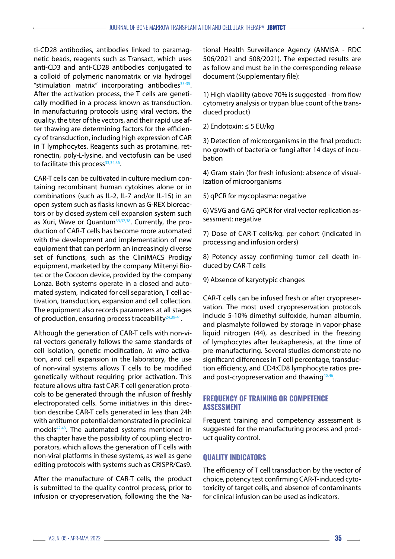ti-CD28 antibodies, antibodies linked to paramagnetic beads, reagents such as Transact, which uses anti-CD3 and anti-CD28 antibodies conjugated to a colloid of polymeric nanomatrix or via hydrogel "stimulation matrix" incorporating antibodies $33-35$ . After the activation process, the T cells are genetically modified in a process known as transduction. In manufacturing protocols using viral vectors, the quality, the titer of the vectors, and their rapid use after thawing are determining factors for the efficiency of transduction, including high expression of CAR in T lymphocytes. Reagents such as protamine, retronectin, poly-L-lysine, and vectofusin can be used to facilitate this process<sup>33,34,36</sup>.

CAR-T cells can be cultivated in culture medium containing recombinant human cytokines alone or in combinations (such as IL-2, IL-7 and/or IL-15) in an open system such as flasks known as G-REX bioreactors or by closed system cell expansion system such as Xuri, Wave or Ouantum<sup>33,37,38</sup>. Currently, the production of CAR-T cells has become more automated with the development and implementation of new equipment that can perform an increasingly diverse set of functions, such as the CliniMACS Prodigy equipment, marketed by the company Miltenyi Biotec or the Cocoon device, provided by the company Lonza. Both systems operate in a closed and automated system, indicated for cell separation, T cell activation, transduction, expansion and cell collection. The equipment also records parameters at all stages of production, ensuring process traceability $24,39-41$ .

Although the generation of CAR-T cells with non-viral vectors generally follows the same standards of cell isolation, genetic modification, *in vitro* activation, and cell expansion in the laboratory, the use of non-viral systems allows T cells to be modified genetically without requiring prior activation. This feature allows ultra-fast CAR-T cell generation protocols to be generated through the infusion of freshly electroporated cells. Some initiatives in this direction describe CAR-T cells generated in less than 24h with antitumor potential demonstrated in preclinical models<sup>42,43</sup>. The automated systems mentioned in this chapter have the possibility of coupling electroporators, which allows the generation of T cells with non-viral platforms in these systems, as well as gene editing protocols with systems such as CRISPR/Cas9.

After the manufacture of CAR-T cells, the product is submitted to the quality control process, prior to infusion or cryopreservation, following the the National Health Surveillance Agency (ANVISA - RDC 506/2021 and 508/2021). The expected results are as follow and must be in the corresponding release document (Supplementary file):

1) High viability (above 70% is suggested - from flow cytometry analysis or trypan blue count of the transduced product)

2) Endotoxin: ≤ 5 EU/kg

3) Detection of microorganisms in the final product: no growth of bacteria or fungi after 14 days of incubation

4) Gram stain (for fresh infusion): absence of visualization of microorganisms

5) qPCR for mycoplasma: negative

6) VSVG and GAG qPCR for viral vector replication assessment: negative

7) Dose of CAR-T cells/kg: per cohort (indicated in processing and infusion orders)

8) Potency assay confirming tumor cell death induced by CAR-T cells

9) Absence of karyotypic changes

CAR-T cells can be infused fresh or after cryopreservation. The most used cryopreservation protocols include 5-10% dimethyl sulfoxide, human albumin, and plasmalyte followed by storage in vapor-phase liquid nitrogen (44), as described in the freezing of lymphocytes after leukapheresis, at the time of pre-manufacturing. Several studies demonstrate no significant differences in T cell percentage, transduction efficiency, and CD4:CD8 lymphocyte ratios preand post-cryopreservation and thawing<sup>45,46</sup>.

### **FREQUENCY OF TRAINING OR COMPETENCE ASSESSMENT**

Frequent training and competency assessment is suggested for the manufacturing process and product quality control.

# **QUALITY INDICATORS**

The efficiency of T cell transduction by the vector of choice, potency test confirming CAR-T-induced cytotoxicity of target cells, and absence of contaminants for clinical infusion can be used as indicators.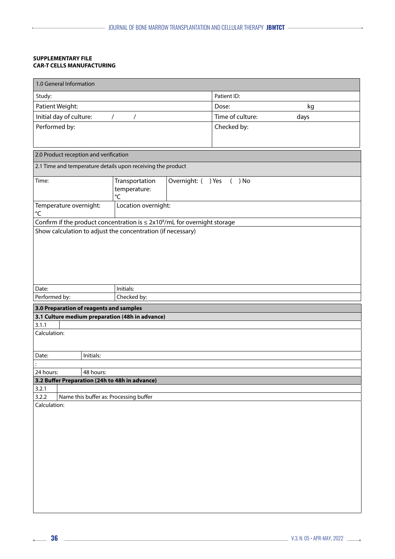#### **SUPPLEMENTARY FILE CAR-T CELLS MANUFACTURING**

i.

| 1.0 General Information                                         |                                                |                                                                                 |              |                           |      |
|-----------------------------------------------------------------|------------------------------------------------|---------------------------------------------------------------------------------|--------------|---------------------------|------|
| Study:                                                          |                                                |                                                                                 |              | Patient ID:               |      |
| Patient Weight:                                                 |                                                |                                                                                 | Dose:        | kg                        |      |
| Initial day of culture:                                         |                                                | $\overline{1}$<br>$\sqrt{2}$                                                    |              | Time of culture:          | days |
| Performed by:                                                   |                                                |                                                                                 |              | Checked by:               |      |
|                                                                 |                                                |                                                                                 |              |                           |      |
|                                                                 |                                                |                                                                                 |              |                           |      |
|                                                                 | 2.0 Product reception and verification         |                                                                                 |              |                           |      |
|                                                                 |                                                | 2.1 Time and temperature details upon receiving the product                     |              |                           |      |
| Time:                                                           |                                                | Transportation                                                                  | Overnight: ( | ) Yes<br>) No<br>$\left($ |      |
|                                                                 |                                                | temperature:                                                                    |              |                           |      |
|                                                                 |                                                | $\rm ^{\circ}C$                                                                 |              |                           |      |
| Location overnight:<br>Temperature overnight:<br>$^{\circ}C$    |                                                |                                                                                 |              |                           |      |
|                                                                 |                                                | Confirm if the product concentration is $\leq 2x10^8$ /mL for overnight storage |              |                           |      |
|                                                                 |                                                | Show calculation to adjust the concentration (if necessary)                     |              |                           |      |
|                                                                 |                                                |                                                                                 |              |                           |      |
|                                                                 |                                                |                                                                                 |              |                           |      |
|                                                                 |                                                |                                                                                 |              |                           |      |
|                                                                 |                                                |                                                                                 |              |                           |      |
|                                                                 |                                                |                                                                                 |              |                           |      |
| Date:                                                           |                                                | Initials:                                                                       |              |                           |      |
| Performed by:                                                   |                                                | Checked by:                                                                     |              |                           |      |
|                                                                 | 3.0 Preparation of reagents and samples        |                                                                                 |              |                           |      |
|                                                                 |                                                | 3.1 Culture medium preparation (48h in advance)                                 |              |                           |      |
| 3.1.1                                                           |                                                |                                                                                 |              |                           |      |
| Calculation:                                                    |                                                |                                                                                 |              |                           |      |
|                                                                 |                                                |                                                                                 |              |                           |      |
| Date:                                                           | Initials:                                      |                                                                                 |              |                           |      |
|                                                                 |                                                |                                                                                 |              |                           |      |
| 24 hours:                                                       | 48 hours:                                      |                                                                                 |              |                           |      |
|                                                                 | 3.2 Buffer Preparation (24h to 48h in advance) |                                                                                 |              |                           |      |
| 3.2.1                                                           |                                                |                                                                                 |              |                           |      |
| Name this buffer as: Processing buffer<br>3.2.2<br>Calculation: |                                                |                                                                                 |              |                           |      |
|                                                                 |                                                |                                                                                 |              |                           |      |
|                                                                 |                                                |                                                                                 |              |                           |      |
|                                                                 |                                                |                                                                                 |              |                           |      |
|                                                                 |                                                |                                                                                 |              |                           |      |
|                                                                 |                                                |                                                                                 |              |                           |      |
|                                                                 |                                                |                                                                                 |              |                           |      |
|                                                                 |                                                |                                                                                 |              |                           |      |
|                                                                 |                                                |                                                                                 |              |                           |      |
|                                                                 |                                                |                                                                                 |              |                           |      |
|                                                                 |                                                |                                                                                 |              |                           |      |
|                                                                 |                                                |                                                                                 |              |                           |      |
|                                                                 |                                                |                                                                                 |              |                           |      |
|                                                                 |                                                |                                                                                 |              |                           |      |

L.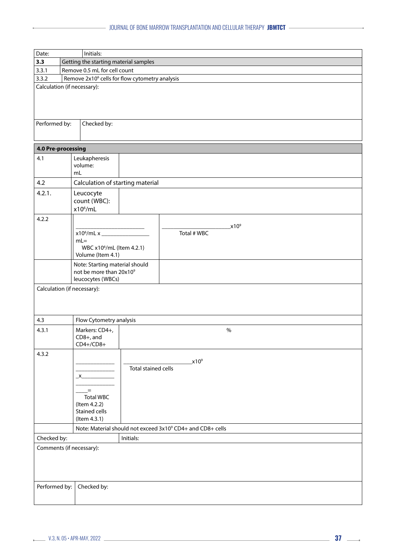| Date:                    | Initials:                                                              |  |  |  |
|--------------------------|------------------------------------------------------------------------|--|--|--|
| 3.3                      | Getting the starting material samples                                  |  |  |  |
| 3.3.1                    | Remove 0.5 mL for cell count                                           |  |  |  |
| 3.3.2                    | Remove 2x10 <sup>6</sup> cells for flow cytometry analysis             |  |  |  |
|                          | Calculation (if necessary):                                            |  |  |  |
|                          |                                                                        |  |  |  |
|                          |                                                                        |  |  |  |
|                          |                                                                        |  |  |  |
| Performed by:            | Checked by:                                                            |  |  |  |
|                          |                                                                        |  |  |  |
| 4.0 Pre-processing       |                                                                        |  |  |  |
| 4.1                      | Leukapheresis                                                          |  |  |  |
|                          | volume:                                                                |  |  |  |
|                          | mL                                                                     |  |  |  |
| 4.2                      | Calculation of starting material                                       |  |  |  |
| 4.2.1.                   | Leucocyte                                                              |  |  |  |
|                          | count (WBC):                                                           |  |  |  |
|                          | $x10^6$ /mL                                                            |  |  |  |
| 4.2.2                    |                                                                        |  |  |  |
|                          | $x10^9$                                                                |  |  |  |
|                          | Total # WBC                                                            |  |  |  |
|                          | $mL =$<br>WBC x10 <sup>6</sup> /mL (Item 4.2.1)                        |  |  |  |
|                          | Volume (Item 4.1)                                                      |  |  |  |
|                          | Note: Starting material should                                         |  |  |  |
|                          | not be more than 20x109                                                |  |  |  |
|                          | leucocytes (WBCs)                                                      |  |  |  |
|                          | Calculation (if necessary):                                            |  |  |  |
|                          |                                                                        |  |  |  |
|                          |                                                                        |  |  |  |
| 4.3                      | Flow Cytometry analysis                                                |  |  |  |
| 4.3.1                    | $\%$<br>Markers: CD4+,                                                 |  |  |  |
|                          | CD8+, and                                                              |  |  |  |
|                          | $CD4+/CD8+$                                                            |  |  |  |
| 4.3.2                    |                                                                        |  |  |  |
|                          | x10 <sup>9</sup><br>Total stained cells                                |  |  |  |
|                          | $X_{-}$                                                                |  |  |  |
|                          |                                                                        |  |  |  |
|                          | $\!=$                                                                  |  |  |  |
|                          | <b>Total WBC</b>                                                       |  |  |  |
|                          | (Item 4.2.2)<br><b>Stained cells</b>                                   |  |  |  |
|                          | (Item 4.3.1)                                                           |  |  |  |
|                          | Note: Material should not exceed 3x10 <sup>9</sup> CD4+ and CD8+ cells |  |  |  |
| Checked by:<br>Initials: |                                                                        |  |  |  |
|                          | Comments (if necessary):                                               |  |  |  |
|                          |                                                                        |  |  |  |
|                          |                                                                        |  |  |  |
|                          |                                                                        |  |  |  |
|                          |                                                                        |  |  |  |
| Performed by:            | Checked by:                                                            |  |  |  |
|                          |                                                                        |  |  |  |

i.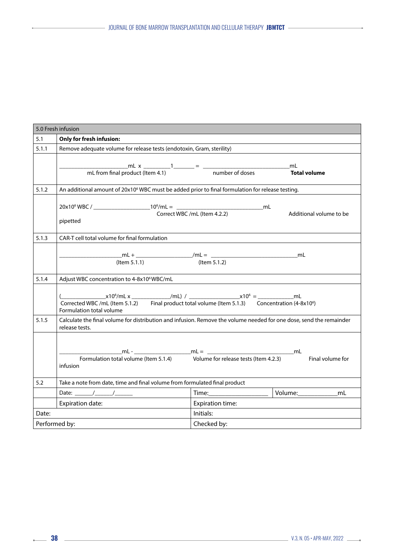|               | 5.0 Fresh infusion                                                                                                                                                                                |                                                                                 |                            |  |  |  |
|---------------|---------------------------------------------------------------------------------------------------------------------------------------------------------------------------------------------------|---------------------------------------------------------------------------------|----------------------------|--|--|--|
| 5.1           | Only for fresh infusion:                                                                                                                                                                          |                                                                                 |                            |  |  |  |
| 5.1.1         | Remove adequate volume for release tests (endotoxin, Gram, sterility)                                                                                                                             |                                                                                 |                            |  |  |  |
|               | $\frac{1}{2}$ mL x $\frac{1}{2}$ = $\frac{1}{2}$ mumber of doses Tot<br>mL from final product (Item 4.1)                                                                                          |                                                                                 | <b>Total volume</b>        |  |  |  |
| 5.1.2         | An additional amount of 20x10 <sup>6</sup> WBC must be added prior to final formulation for release testing.                                                                                      |                                                                                 |                            |  |  |  |
|               | pipetted                                                                                                                                                                                          | the contract of the contract of the contract of the contract of the contract of | Additional volume to be    |  |  |  |
| 5.1.3         | CAR-T cell total volume for final formulation                                                                                                                                                     |                                                                                 |                            |  |  |  |
|               | $($ ltem 5.1.1 $)$                                                                                                                                                                                | (Item 5.1.2)                                                                    | mL                         |  |  |  |
| 5.1.4         | Adjust WBC concentration to 4-8x10 <sup>6</sup> WBC/mL<br>Corrected WBC /mL (Item 5.1.2) Final product total volume (Item 5.1.3) Concentration (4-8x10 <sup>6</sup> )<br>Formulation total volume |                                                                                 |                            |  |  |  |
|               |                                                                                                                                                                                                   |                                                                                 |                            |  |  |  |
| 5.1.5         | Calculate the final volume for distribution and infusion. Remove the volume needed for one dose, send the remainder<br>release tests.                                                             |                                                                                 |                            |  |  |  |
|               | infusion                                                                                                                                                                                          |                                                                                 | Final volume for           |  |  |  |
| 5.2           | Take a note from date, time and final volume from formulated final product                                                                                                                        |                                                                                 |                            |  |  |  |
|               |                                                                                                                                                                                                   |                                                                                 | Volume:_____________<br>mL |  |  |  |
|               | Expiration date:                                                                                                                                                                                  | Expiration time:                                                                |                            |  |  |  |
| Date:         |                                                                                                                                                                                                   | Initials:                                                                       |                            |  |  |  |
| Performed by: |                                                                                                                                                                                                   | Checked by:                                                                     |                            |  |  |  |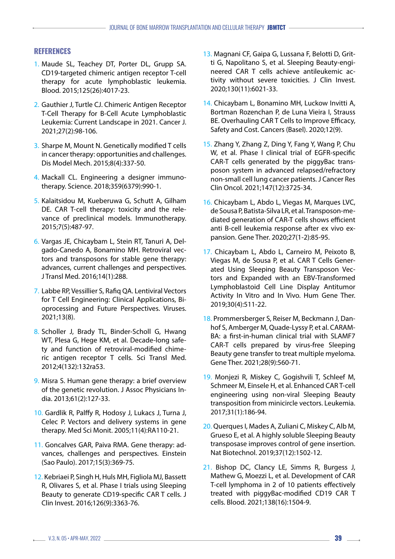## **REFERENCES**

- 1. Maude SL, Teachey DT, Porter DL, Grupp SA. CD19-targeted chimeric antigen receptor T-cell therapy for acute lymphoblastic leukemia. Blood. 2015;125(26):4017-23.
- 2. Gauthier J, Turtle CJ. Chimeric Antigen Receptor T-Cell Therapy for B-Cell Acute Lymphoblastic Leukemia: Current Landscape in 2021. Cancer J. 2021;27(2):98-106.
- 3. Sharpe M, Mount N. Genetically modified T cells in cancer therapy: opportunities and challenges. Dis Model Mech. 2015;8(4):337-50.
- 4. Mackall CL. Engineering a designer immunotherapy. Science. 2018;359(6379):990-1.
- 5. Kalaitsidou M, Kueberuwa G, Schutt A, Gilham DE. CAR T-cell therapy: toxicity and the relevance of preclinical models. Immunotherapy. 2015;7(5):487-97.
- 6. Vargas JE, Chicaybam L, Stein RT, Tanuri A, Delgado-Canedo A, Bonamino MH. Retroviral vectors and transposons for stable gene therapy: advances, current challenges and perspectives. J Transl Med. 2016;14(1):288.
- 7. Labbe RP, Vessillier S, Rafiq QA. Lentiviral Vectors for T Cell Engineering: Clinical Applications, Bioprocessing and Future Perspectives. Viruses. 2021;13(8).
- 8. Scholler J, Brady TL, Binder-Scholl G, Hwang WT, Plesa G, Hege KM, et al. Decade-long safety and function of retroviral-modified chimeric antigen receptor T cells. Sci Transl Med. 2012;4(132):132ra53.
- 9. Misra S. Human gene therapy: a brief overview of the genetic revolution. J Assoc Physicians India. 2013;61(2):127-33.
- 10. Gardlik R, Palffy R, Hodosy J, Lukacs J, Turna J, Celec P. Vectors and delivery systems in gene therapy. Med Sci Monit. 2005;11(4):RA110-21.
- 11. Goncalves GAR, Paiva RMA. Gene therapy: advances, challenges and perspectives. Einstein (Sao Paulo). 2017;15(3):369-75.
- 12. Kebriaei P, Singh H, Huls MH, Figliola MJ, Bassett R, Olivares S, et al. Phase I trials using Sleeping Beauty to generate CD19-specific CAR T cells. J Clin Invest. 2016;126(9):3363-76.
- 13. Magnani CF, Gaipa G, Lussana F, Belotti D, Gritti G, Napolitano S, et al. Sleeping Beauty-engineered CAR T cells achieve antileukemic activity without severe toxicities. J Clin Invest. 2020;130(11):6021-33.
- 14. Chicaybam L, Bonamino MH, Luckow Invitti A, Bortman Rozenchan P, de Luna Vieira I, Strauss BE. Overhauling CAR T Cells to Improve Efficacy, Safety and Cost. Cancers (Basel). 2020;12(9).
- 15. Zhang Y, Zhang Z, Ding Y, Fang Y, Wang P, Chu W, et al. Phase I clinical trial of EGFR-specific CAR-T cells generated by the piggyBac transposon system in advanced relapsed/refractory non-small cell lung cancer patients. J Cancer Res Clin Oncol. 2021;147(12):3725-34.
- 16. Chicaybam L, Abdo L, Viegas M, Marques LVC, de Sousa P, Batista-Silva LR, et al. Transposon-mediated generation of CAR-T cells shows efficient anti B-cell leukemia response after ex vivo expansion. Gene Ther. 2020;27(1-2):85-95.
- 17. Chicaybam L, Abdo L, Carneiro M, Peixoto B, Viegas M, de Sousa P, et al. CAR T Cells Generated Using Sleeping Beauty Transposon Vectors and Expanded with an EBV-Transformed Lymphoblastoid Cell Line Display Antitumor Activity In Vitro and In Vivo. Hum Gene Ther. 2019;30(4):511-22.
- 18. Prommersberger S, Reiser M, Beckmann J, Danhof S, Amberger M, Quade-Lyssy P, et al. CARAM-BA: a first-in-human clinical trial with SLAMF7 CAR-T cells prepared by virus-free Sleeping Beauty gene transfer to treat multiple myeloma. Gene Ther. 2021;28(9):560-71.
- 19. Monjezi R, Miskey C, Gogishvili T, Schleef M, Schmeer M, Einsele H, et al. Enhanced CAR T-cell engineering using non-viral Sleeping Beauty transposition from minicircle vectors. Leukemia. 2017;31(1):186-94.
- 20. Querques I, Mades A, Zuliani C, Miskey C, Alb M, Grueso E, et al. A highly soluble Sleeping Beauty transposase improves control of gene insertion. Nat Biotechnol. 2019;37(12):1502-12.
- 21. Bishop DC, Clancy LE, Simms R, Burgess J, Mathew G, Moezzi L, et al. Development of CAR T-cell lymphoma in 2 of 10 patients effectively treated with piggyBac-modified CD19 CAR T cells. Blood. 2021;138(16):1504-9.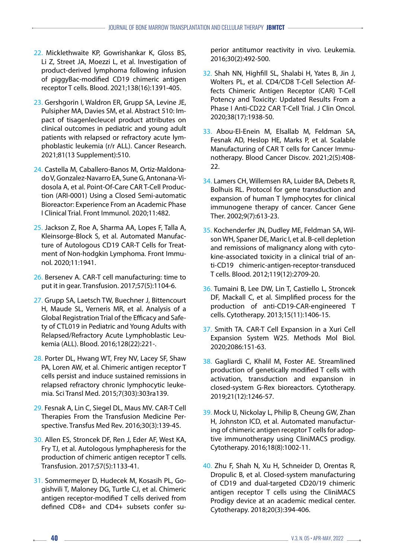- 22. Micklethwaite KP, Gowrishankar K, Gloss BS, Li Z, Street JA, Moezzi L, et al. Investigation of product-derived lymphoma following infusion of piggyBac-modified CD19 chimeric antigen receptor T cells. Blood. 2021;138(16):1391-405.
- 23. Gershgorin I, Waldron ER, Grupp SA, Levine JE, Pulsipher MA, Davies SM, et al. Abstract 510: Impact of tisagenlecleucel product attributes on clinical outcomes in pediatric and young adult patients with relapsed or refractory acute lymphoblastic leukemia (r/r ALL). Cancer Research. 2021;81(13 Supplement):510.
- 24. Castella M, Caballero-Banos M, Ortiz-Maldonado V, Gonzalez-Navarro EA, Sune G, Antonana-Vidosola A, et al. Point-Of-Care CAR T-Cell Production (ARI-0001) Using a Closed Semi-automatic Bioreactor: Experience From an Academic Phase I Clinical Trial. Front Immunol. 2020;11:482.
- 25. Jackson Z, Roe A, Sharma AA, Lopes F, Talla A, Kleinsorge-Block S, et al. Automated Manufacture of Autologous CD19 CAR-T Cells for Treatment of Non-hodgkin Lymphoma. Front Immunol. 2020;11:1941.
- 26. Bersenev A. CAR-T cell manufacturing: time to put it in gear. Transfusion. 2017;57(5):1104-6.
- 27. Grupp SA, Laetsch TW, Buechner J, Bittencourt H, Maude SL, Verneris MR, et al. Analysis of a Global Registration Trial of the Efficacy and Safety of CTL019 in Pediatric and Young Adults with Relapsed/Refractory Acute Lymphoblastic Leukemia (ALL). Blood. 2016;128(22):221-.
- 28. Porter DL, Hwang WT, Frey NV, Lacey SF, Shaw PA, Loren AW, et al. Chimeric antigen receptor T cells persist and induce sustained remissions in relapsed refractory chronic lymphocytic leukemia. Sci Transl Med. 2015;7(303):303ra139.
- 29. Fesnak A, Lin C, Siegel DL, Maus MV. CAR-T Cell Therapies From the Transfusion Medicine Perspective. Transfus Med Rev. 2016;30(3):139-45.
- 30. Allen ES, Stroncek DF, Ren J, Eder AF, West KA, Fry TJ, et al. Autologous lymphapheresis for the production of chimeric antigen receptor T cells. Transfusion. 2017;57(5):1133-41.
- 31. Sommermeyer D, Hudecek M, Kosasih PL, Gogishvili T, Maloney DG, Turtle CJ, et al. Chimeric antigen receptor-modified T cells derived from defined CD8+ and CD4+ subsets confer su-

perior antitumor reactivity in vivo. Leukemia. 2016;30(2):492-500.

- 32. Shah NN, Highfill SL, Shalabi H, Yates B, Jin J, Wolters PL, et al. CD4/CD8 T-Cell Selection Affects Chimeric Antigen Receptor (CAR) T-Cell Potency and Toxicity: Updated Results From a Phase I Anti-CD22 CAR T-Cell Trial. J Clin Oncol. 2020;38(17):1938-50.
- 33. Abou-El-Enein M, Elsallab M, Feldman SA, Fesnak AD, Heslop HE, Marks P, et al. Scalable Manufacturing of CAR T cells for Cancer Immunotherapy. Blood Cancer Discov. 2021;2(5):408- 22.
- 34. Lamers CH, Willemsen RA, Luider BA, Debets R, Bolhuis RL. Protocol for gene transduction and expansion of human T lymphocytes for clinical immunogene therapy of cancer. Cancer Gene Ther. 2002;9(7):613-23.
- 35. Kochenderfer JN, Dudley ME, Feldman SA, Wilson WH, Spaner DE, Maric I, et al. B-cell depletion and remissions of malignancy along with cytokine-associated toxicity in a clinical trial of anti-CD19 chimeric-antigen-receptor-transduced T cells. Blood. 2012;119(12):2709-20.
- 36. Tumaini B, Lee DW, Lin T, Castiello L, Stroncek DF, Mackall C, et al. Simplified process for the production of anti-CD19-CAR-engineered T cells. Cytotherapy. 2013;15(11):1406-15.
- 37. Smith TA. CAR-T Cell Expansion in a Xuri Cell Expansion System W25. Methods Mol Biol. 2020;2086:151-63.
- 38. Gagliardi C, Khalil M, Foster AE. Streamlined production of genetically modified T cells with activation, transduction and expansion in closed-system G-Rex bioreactors. Cytotherapy. 2019;21(12):1246-57.
- 39. Mock U, Nickolay L, Philip B, Cheung GW, Zhan H, Johnston ICD, et al. Automated manufacturing of chimeric antigen receptor T cells for adoptive immunotherapy using CliniMACS prodigy. Cytotherapy. 2016;18(8):1002-11.
- 40. Zhu F, Shah N, Xu H, Schneider D, Orentas R, Dropulic B, et al. Closed-system manufacturing of CD19 and dual-targeted CD20/19 chimeric antigen receptor T cells using the CliniMACS Prodigy device at an academic medical center. Cytotherapy. 2018;20(3):394-406.